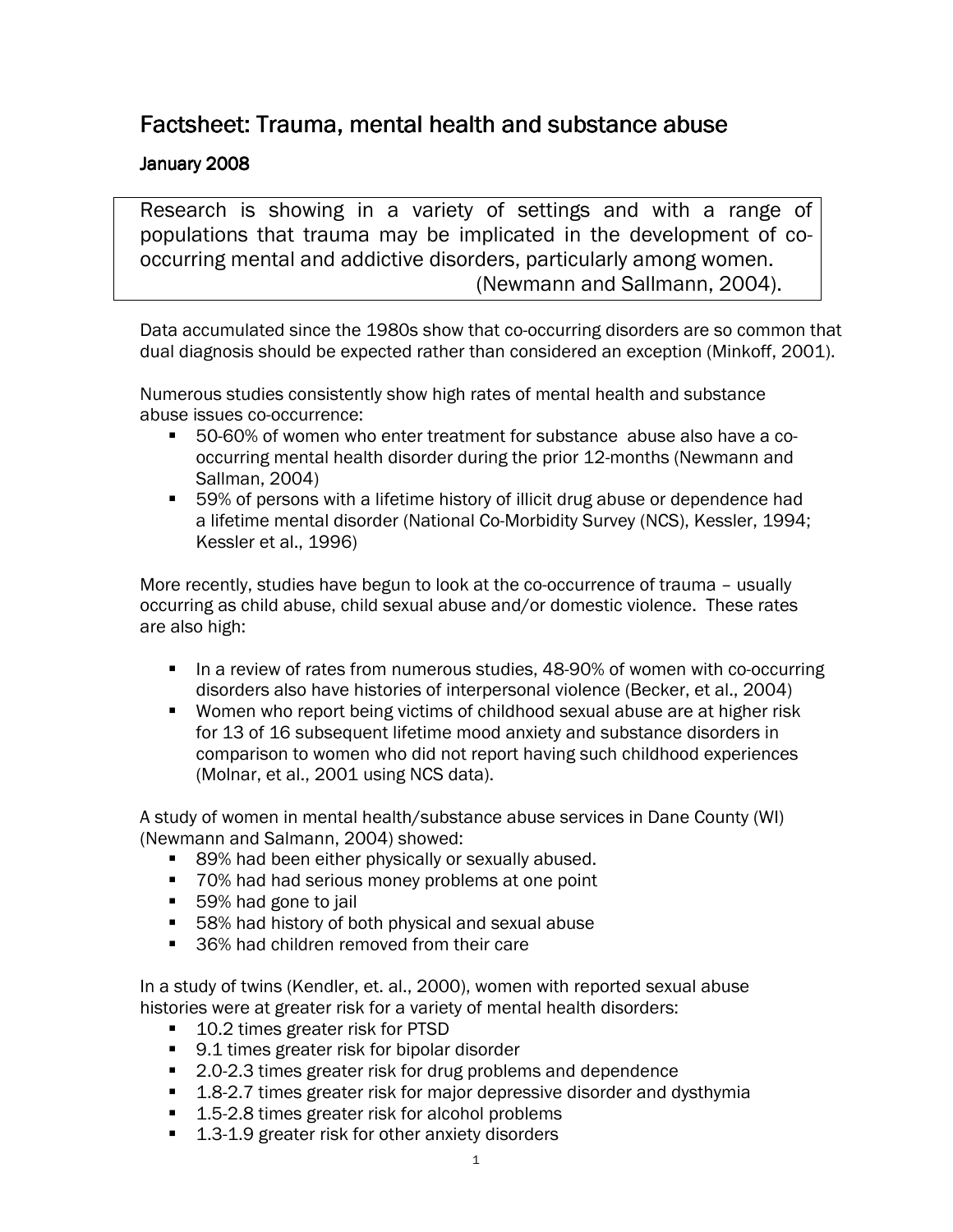# Factsheet: Trauma, mental health and substance abuse

## January 2008

Research is showing in a variety of settings and with a range of populations that trauma may be implicated in the development of cooccurring mental and addictive disorders, particularly among women. (Newmann and Sallmann, 2004).

Data accumulated since the 1980s show that co-occurring disorders are so common that dual diagnosis should be expected rather than considered an exception (Minkoff, 2001).

Numerous studies consistently show high rates of mental health and substance abuse issues co-occurrence:

- 50-60% of women who enter treatment for substance abuse also have a cooccurring mental health disorder during the prior 12-months (Newmann and Sallman, 2004)
- 59% of persons with a lifetime history of illicit drug abuse or dependence had a lifetime mental disorder (National Co-Morbidity Survey (NCS), Kessler, 1994; Kessler et al., 1996)

More recently, studies have begun to look at the co-occurrence of trauma – usually occurring as child abuse, child sexual abuse and/or domestic violence. These rates are also high:

- **IF In a review of rates from numerous studies, 48-90% of women with co-occurring** disorders also have histories of interpersonal violence (Becker, et al., 2004)
- **Women who report being victims of childhood sexual abuse are at higher risk** for 13 of 16 subsequent lifetime mood anxiety and substance disorders in comparison to women who did not report having such childhood experiences (Molnar, et al., 2001 using NCS data).

A study of women in mental health/substance abuse services in Dane County (WI) (Newmann and Salmann, 2004) showed:

- 89% had been either physically or sexually abused.
- 70% had had serious money problems at one point
- 59% had gone to jail
- 58% had history of both physical and sexual abuse
- 36% had children removed from their care

In a study of twins (Kendler, et. al., 2000), women with reported sexual abuse histories were at greater risk for a variety of mental health disorders:

- 10.2 times greater risk for PTSD
- 9.1 times greater risk for bipolar disorder
- 2.0-2.3 times greater risk for drug problems and dependence
- 1.8-2.7 times greater risk for major depressive disorder and dysthymia
- 1.5-2.8 times greater risk for alcohol problems
- 1.3-1.9 greater risk for other anxiety disorders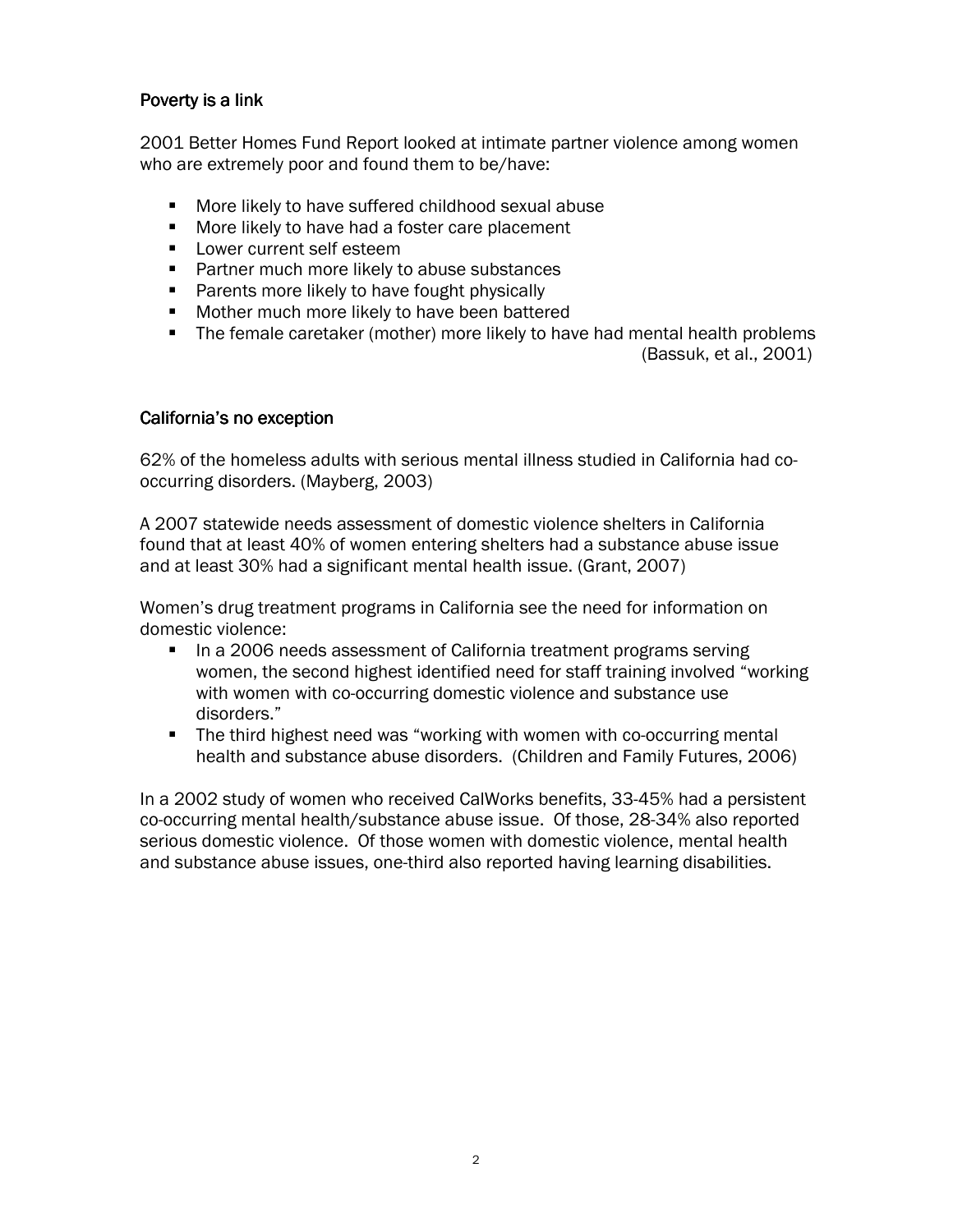### Poverty is a link

2001 Better Homes Fund Report looked at intimate partner violence among women who are extremely poor and found them to be/have:

- **More likely to have suffered childhood sexual abuse**
- **More likely to have had a foster care placement**
- **Lower current self esteem**
- **Partner much more likely to abuse substances**
- **Parents more likely to have fought physically**
- **Mother much more likely to have been battered**
- **The female caretaker (mother) more likely to have had mental health problems** (Bassuk, et al., 2001)

#### California's no exception

62% of the homeless adults with serious mental illness studied in California had cooccurring disorders. (Mayberg, 2003)

A 2007 statewide needs assessment of domestic violence shelters in California found that at least 40% of women entering shelters had a substance abuse issue and at least 30% had a significant mental health issue. (Grant, 2007)

Women's drug treatment programs in California see the need for information on domestic violence:

- In a 2006 needs assessment of California treatment programs serving women, the second highest identified need for staff training involved "working with women with co-occurring domestic violence and substance use disorders."
- **The third highest need was "working with women with co-occurring mental** health and substance abuse disorders. (Children and Family Futures, 2006)

In a 2002 study of women who received CalWorks benefits, 33-45% had a persistent co-occurring mental health/substance abuse issue. Of those, 28-34% also reported serious domestic violence. Of those women with domestic violence, mental health and substance abuse issues, one-third also reported having learning disabilities.